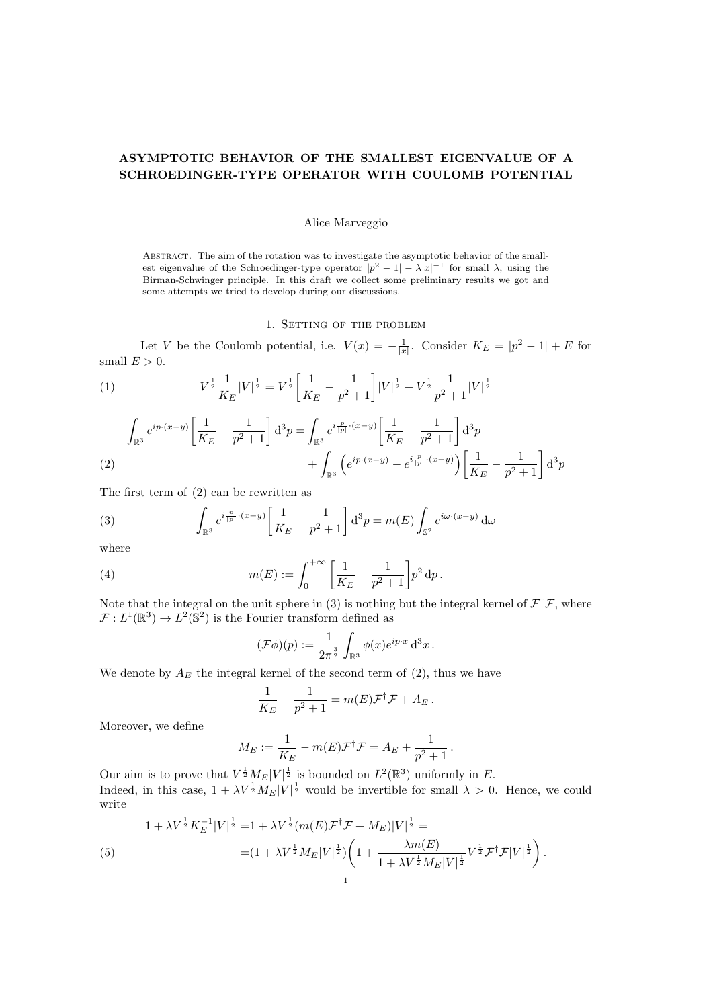## ASYMPTOTIC BEHAVIOR OF THE SMALLEST EIGENVALUE OF A SCHROEDINGER-TYPE OPERATOR WITH COULOMB POTENTIAL

## Alice Marveggio

Abstract. The aim of the rotation was to investigate the asymptotic behavior of the smallest eigenvalue of the Schroedinger-type operator  $|p^2 - 1| - \lambda |x|^{-1}$  for small  $\lambda$ , using the Birman-Schwinger principle. In this draft we collect some preliminary results we got and some attempts we tried to develop during our discussions.

1. SETTING OF THE PROBLEM

Let V be the Coulomb potential, i.e.  $V(x) = -\frac{1}{|x|}$ . Consider  $K_E = |p^2 - 1| + E$  for small  $E > 0$ .

(1) 
$$
V^{\frac{1}{2}} \frac{1}{K_E} |V|^{\frac{1}{2}} = V^{\frac{1}{2}} \left[ \frac{1}{K_E} - \frac{1}{p^2 + 1} \right] |V|^{\frac{1}{2}} + V^{\frac{1}{2}} \frac{1}{p^2 + 1} |V|^{\frac{1}{2}}
$$

$$
\int_{\mathbb{R}^3} e^{ip \cdot (x-y)} \left[ \frac{1}{K_E} - \frac{1}{p^2 + 1} \right] d^3 p = \int_{\mathbb{R}^3} e^{i \frac{p}{|p|} \cdot (x-y)} \left[ \frac{1}{K_E} - \frac{1}{p^2 + 1} \right] d^3 p
$$
\n
$$
+ \int_{\mathbb{R}^3} \left( e^{ip \cdot (x-y)} - e^{i \frac{p}{|p|} \cdot (x-y)} \right) \left[ \frac{1}{K_E} - \frac{1}{p^2 + 1} \right] d^3 p
$$

The first term of (2) can be rewritten as

(3) 
$$
\int_{\mathbb{R}^3} e^{i\frac{p}{|p|} \cdot (x-y)} \left[ \frac{1}{K_E} - \frac{1}{p^2 + 1} \right] d^3 p = m(E) \int_{\mathbb{S}^2} e^{i\omega \cdot (x-y)} d\omega
$$

where

(4) 
$$
m(E) := \int_0^{+\infty} \left[ \frac{1}{K_E} - \frac{1}{p^2 + 1} \right] p^2 dp.
$$

Note that the integral on the unit sphere in (3) is nothing but the integral kernel of  $\mathcal{F}^{\dagger}\mathcal{F}$ , where  $\mathcal{F}: L^1(\mathbb{R}^3) \to L^2(\mathbb{S}^2)$  is the Fourier transform defined as

$$
(\mathcal{F}\phi)(p) := \frac{1}{2\pi^{\frac{3}{2}}} \int_{\mathbb{R}^3} \phi(x) e^{ip \cdot x} d^3 x.
$$

We denote by  $A_E$  the integral kernel of the second term of  $(2)$ , thus we have

$$
\frac{1}{K_E} - \frac{1}{p^2 + 1} = m(E)\mathcal{F}^{\dagger}\mathcal{F} + A_E.
$$

Moreover, we define

$$
M_E := \frac{1}{K_E} - m(E)\mathcal{F}^{\dagger}\mathcal{F} = A_E + \frac{1}{p^2 + 1}.
$$

Our aim is to prove that  $V^{\frac{1}{2}}M_E|V|^{\frac{1}{2}}$  is bounded on  $L^2(\mathbb{R}^3)$  uniformly in E. Indeed, in this case,  $1 + \lambda V^{\frac{1}{2}} M_E |V|^{\frac{1}{2}}$  would be invertible for small  $\lambda > 0$ . Hence, we could write

$$
1 + \lambda V^{\frac{1}{2}} K_E^{-1} |V|^{\frac{1}{2}} = 1 + \lambda V^{\frac{1}{2}} (m(E) \mathcal{F}^{\dagger} \mathcal{F} + M_E) |V|^{\frac{1}{2}} =
$$
  
(5)  

$$
= (1 + \lambda V^{\frac{1}{2}} M_E |V|^{\frac{1}{2}}) \left( 1 + \frac{\lambda m(E)}{1 + \lambda V^{\frac{1}{2}} M_E |V|^{\frac{1}{2}}} V^{\frac{1}{2}} \mathcal{F}^{\dagger} \mathcal{F} |V|^{\frac{1}{2}} \right).
$$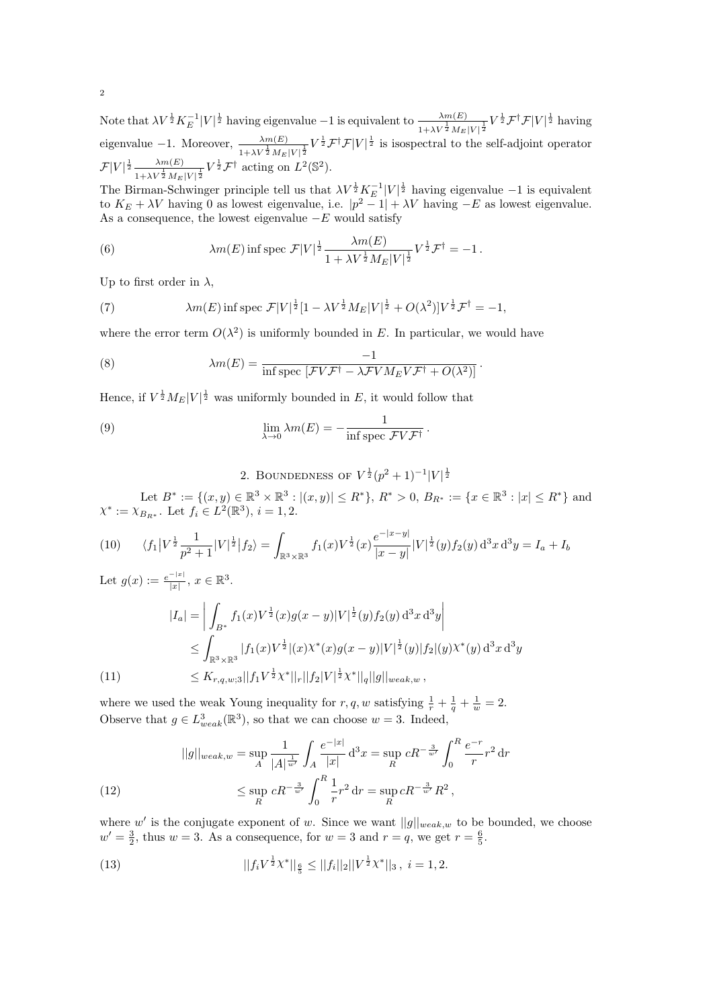Note that  $\lambda V^{\frac{1}{2}} K_E^{-1} |V|^{\frac{1}{2}}$  having eigenvalue  $-1$  is equivalent to  $\frac{\lambda m(E)}{1+\lambda V^{\frac{1}{2}} M_E |V|^{\frac{1}{2}}} V^{\frac{1}{2}} \mathcal{F}^{\dagger} \mathcal{F} |V|^{\frac{1}{2}}$  having eigenvalue -1. Moreover,  $\frac{\lambda m(E)}{1+\lambda V^{\frac{1}{2}} M_E |V|^{\frac{1}{2}}} V^{\frac{1}{2}} \mathcal{F}^{\dagger} \mathcal{F} |V|^{\frac{1}{2}}$  is isospectral to the self-adjoint operator  $\mathcal{F}|V|^{\frac{1}{2}} \frac{\lambda m(E)}{m(E)}$  $\frac{\lambda m(E)}{1+\lambda V^{\frac{1}{2}}M_E|V|^{\frac{1}{2}}}V^{\frac{1}{2}}\mathcal{F}^{\dagger}$  acting on  $L^2(\mathbb{S}^2)$ .

The Birman-Schwinger principle tell us that  $\lambda V^{\frac{1}{2}} K_E^{-1} |V|^{\frac{1}{2}}$  having eigenvalue  $-1$  is equivalent to  $K_E + \lambda V$  having 0 as lowest eigenvalue, i.e.  $|p^2 - 1| + \lambda V$  having  $-E$  as lowest eigenvalue. As a consequence, the lowest eigenvalue  $-E$  would satisfy

(6) 
$$
\lambda m(E) \inf \text{spec } \mathcal{F}|V|^{\frac{1}{2}} \frac{\lambda m(E)}{1 + \lambda V^{\frac{1}{2}} M_E |V|^{\frac{1}{2}}} V^{\frac{1}{2}} \mathcal{F}^{\dagger} = -1.
$$

Up to first order in  $\lambda$ ,

(7) 
$$
\lambda m(E) \inf \operatorname{spec} \mathcal{F}|V|^{\frac{1}{2}}[1 - \lambda V^{\frac{1}{2}} M_E |V|^{\frac{1}{2}} + O(\lambda^2)|V^{\frac{1}{2}} \mathcal{F}^{\dagger} = -1,
$$

where the error term  $O(\lambda^2)$  is uniformly bounded in E. In particular, we would have

(8) 
$$
\lambda m(E) = \frac{-1}{\inf \operatorname{spec} \left[ \mathcal{F}V\mathcal{F}^{\dagger} - \lambda \mathcal{F}VM_{E}V\mathcal{F}^{\dagger} + O(\lambda^{2}) \right]}.
$$

Hence, if  $V^{\frac{1}{2}} M_E |V|^{\frac{1}{2}}$  was uniformly bounded in E, it would follow that

(9) 
$$
\lim_{\lambda \to 0} \lambda m(E) = -\frac{1}{\inf \operatorname{spec} \mathcal{F}V\mathcal{F}^{\dagger}}.
$$

2. BOUNDEDNESS OF  $V^{\frac{1}{2}}(p^2+1)^{-1}|V|^{\frac{1}{2}}$ 

Let  $B^* := \{(x, y) \in \mathbb{R}^3 \times \mathbb{R}^3 : |(x, y)| \le R^*\}, R^* > 0, B_{R^*} := \{x \in \mathbb{R}^3 : |x| \le R^*\}\$ and  $\chi^* := \chi_{B_{R^*}}$ . Let  $f_i \in L^2(\mathbb{R}^3)$ ,  $i = 1, 2$ .

$$
(10) \qquad \langle f_1 | V^{\frac{1}{2}} \frac{1}{p^2 + 1} |V|^{\frac{1}{2}} | f_2 \rangle = \int_{\mathbb{R}^3 \times \mathbb{R}^3} f_1(x) V^{\frac{1}{2}}(x) \frac{e^{-|x-y|}}{|x-y|} |V|^{\frac{1}{2}}(y) f_2(y) d^3 x d^3 y = I_a + I_b
$$

Let  $g(x) := \frac{e^{-|x|}}{|x|}$  $\frac{-|x|}{|x|}, x \in \mathbb{R}^3.$ 

$$
|I_{a}| = \left| \int_{B^{*}} f_{1}(x)V^{\frac{1}{2}}(x)g(x-y)|V|^{\frac{1}{2}}(y)f_{2}(y) d^{3}x d^{3}y \right|
$$
  
\n
$$
\leq \int_{\mathbb{R}^{3} \times \mathbb{R}^{3}} |f_{1}(x)V^{\frac{1}{2}}|(x)\chi^{*}(x)g(x-y)|V|^{\frac{1}{2}}(y)|f_{2}|(y)\chi^{*}(y) d^{3}x d^{3}y
$$
  
\n
$$
\leq K_{r,q,w;3}||f_{1}V^{\frac{1}{2}}\chi^{*}||_{r}||f_{2}|V|^{\frac{1}{2}}\chi^{*}||_{q}||g||_{weak,w},
$$

where we used the weak Young inequality for  $r, q, w$  satisfying  $\frac{1}{r} + \frac{1}{q} + \frac{1}{w} = 2$ . Observe that  $g \in L^3_{weak}(\mathbb{R}^3)$ , so that we can choose  $w = 3$ . Indeed,

(12) 
$$
||g||_{weak,w} = \sup_{A} \frac{1}{|A|^{\frac{1}{w'}}} \int_{A} \frac{e^{-|x|}}{|x|} d^{3}x = \sup_{R} cR^{-\frac{3}{w'}} \int_{0}^{R} \frac{e^{-r}}{r} r^{2} dr
$$

$$
\leq \sup_{R} cR^{-\frac{3}{w'}} \int_{0}^{R} \frac{1}{r} r^{2} dr = \sup_{R} cR^{-\frac{3}{w'}} R^{2},
$$

where w' is the conjugate exponent of w. Since we want  $||g||_{weak,w}$  to be bounded, we choose  $w' = \frac{3}{2}$ , thus  $w = 3$ . As a consequence, for  $w = 3$  and  $r = q$ , we get  $r = \frac{6}{5}$ .

(13) 
$$
||f_i V^{\frac{1}{2}} X^*||_{\frac{6}{5}} \leq ||f_i||_2 ||V^{\frac{1}{2}} X^*||_3, \ i = 1, 2.
$$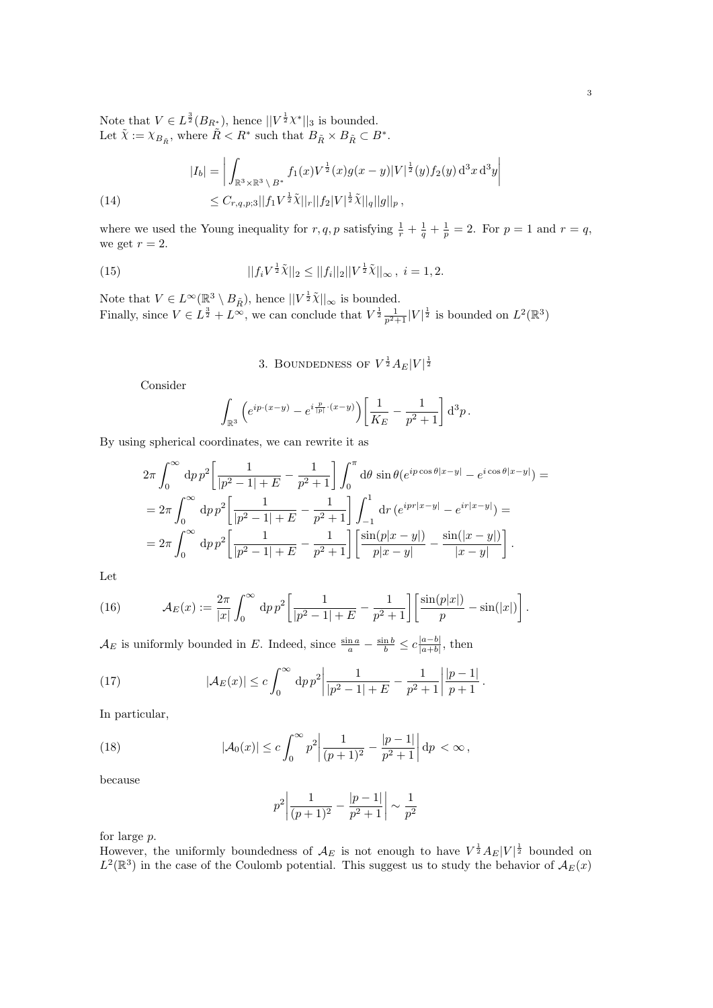Note that  $V \in L^{\frac{3}{2}}(B_{R^*})$ , hence  $||V^{\frac{1}{2}}\chi^*||_3$  is bounded. Let  $\tilde{\chi} := \chi_{B_{\tilde{R}}}$ , where  $\tilde{R} < R^*$  such that  $B_{\tilde{R}} \times B_{\tilde{R}} \subset B^*$ .

(14) 
$$
|I_b| = \left| \int_{\mathbb{R}^3 \times \mathbb{R}^3 \setminus B^*} f_1(x) V^{\frac{1}{2}}(x) g(x - y) |V|^{\frac{1}{2}}(y) f_2(y) d^3 x d^3 y \right|
$$
  

$$
\leq C_{r,q,p;3} ||f_1 V^{\frac{1}{2}} \tilde{\chi}||_r ||f_2 |V|^{\frac{1}{2}} \tilde{\chi}||_q ||g||_p,
$$

where we used the Young inequality for  $r, q, p$  satisfying  $\frac{1}{r} + \frac{1}{q} + \frac{1}{p} = 2$ . For  $p = 1$  and  $r = q$ , we get  $r = 2$ .

(15) 
$$
||f_i V^{\frac{1}{2}} \tilde{\chi}||_2 \le ||f_i||_2 ||V^{\frac{1}{2}} \tilde{\chi}||_{\infty}, i = 1, 2.
$$

Note that  $V \in L^{\infty}(\mathbb{R}^3 \setminus B_{\tilde{R}})$ , hence  $||V^{\frac{1}{2}}\tilde{\chi}||_{\infty}$  is bounded. Finally, since  $V \in L^{\frac{3}{2}} + L^{\infty}$ , we can conclude that  $V^{\frac{1}{2}} \frac{1}{p^2+1} |V|^{\frac{1}{2}}$  is bounded on  $L^2(\mathbb{R}^3)$ 

3. BOUNDEDNESS OF  $V^{\frac{1}{2}}A_E|V|^{\frac{1}{2}}$ 

Consider

$$
\int_{\mathbb{R}^3} \left( e^{ip \cdot (x-y)} - e^{i \frac{p}{|p|} \cdot (x-y)} \right) \left[ \frac{1}{K_E} - \frac{1}{p^2 + 1} \right] d^3 p.
$$

By using spherical coordinates, we can rewrite it as

$$
2\pi \int_0^\infty dp \, p^2 \left[ \frac{1}{|p^2 - 1| + E} - \frac{1}{p^2 + 1} \right] \int_0^\pi d\theta \, \sin \theta (e^{ip \cos \theta |x - y|} - e^{i \cos \theta |x - y|}) =
$$
  
= 
$$
2\pi \int_0^\infty dp \, p^2 \left[ \frac{1}{|p^2 - 1| + E} - \frac{1}{p^2 + 1} \right] \int_{-1}^1 dr \, (e^{ipr|x - y|} - e^{ir|x - y|}) =
$$
  
= 
$$
2\pi \int_0^\infty dp \, p^2 \left[ \frac{1}{|p^2 - 1| + E} - \frac{1}{p^2 + 1} \right] \left[ \frac{\sin(p|x - y|)}{p|x - y|} - \frac{\sin(|x - y|)}{|x - y|} \right].
$$

Let

(16) 
$$
\mathcal{A}_E(x) := \frac{2\pi}{|x|} \int_0^\infty dp \, p^2 \left[ \frac{1}{|p^2 - 1| + E} - \frac{1}{p^2 + 1} \right] \left[ \frac{\sin(p|x|)}{p} - \sin(|x|) \right].
$$

 $\mathcal{A}_E$  is uniformly bounded in E. Indeed, since  $\frac{\sin a}{a} - \frac{\sin b}{b} \leq c \frac{|a-b|}{|a+b|}$  $\frac{|a-b|}{|a+b|}$ , then

(17) 
$$
|\mathcal{A}_E(x)| \le c \int_0^\infty dp p^2 \left| \frac{1}{|p^2 - 1| + E} - \frac{1}{p^2 + 1} \right| \frac{|p - 1|}{p + 1}.
$$

In particular,

(18) 
$$
|\mathcal{A}_0(x)| \le c \int_0^\infty p^2 \left| \frac{1}{(p+1)^2} - \frac{|p-1|}{p^2+1} \right| dp < \infty,
$$

because

$$
p^{2} \left| \frac{1}{(p+1)^{2}} - \frac{|p-1|}{p^{2}+1} \right| \sim \frac{1}{p^{2}}
$$

for large p.

However, the uniformly boundedness of  $\mathcal{A}_E$  is not enough to have  $V^{\frac{1}{2}}A_E|V|^{\frac{1}{2}}$  bounded on  $L^2(\mathbb{R}^3)$  in the case of the Coulomb potential. This suggest us to study the behavior of  $\mathcal{A}_E(x)$ 

 $\overline{\phantom{a}}$  $\cdot$ Ï  $\overline{\phantom{a}}$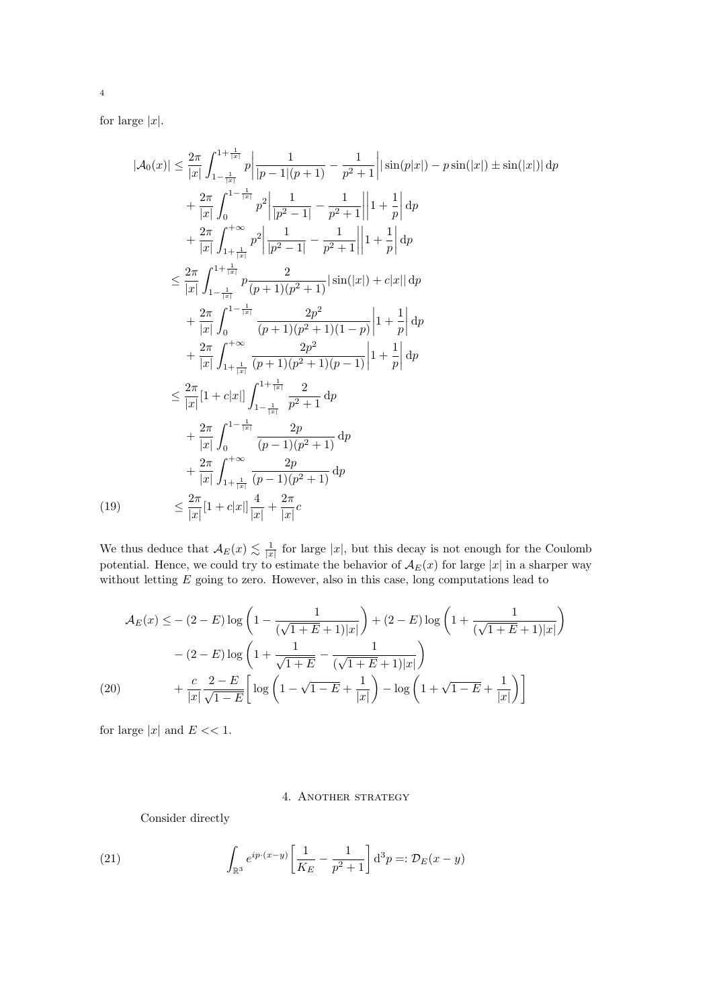for large  $|x|$ .

$$
|\mathcal{A}_0(x)| \leq \frac{2\pi}{|x|} \int_{1-\frac{1}{|x|}}^{1+\frac{1}{|x|}} p \left| \frac{1}{|p-1|(p+1)} - \frac{1}{p^2+1} \right| |\sin(p|x|) - p \sin(|x|) \pm \sin(|x|) | d p
$$
  
+  $\frac{2\pi}{|x|} \int_0^{1-\frac{1}{|x|}} p^2 \left| \frac{1}{|p^2-1|} - \frac{1}{p^2+1} \right| |1 + \frac{1}{p} | d p$   
+  $\frac{2\pi}{|x|} \int_{1+\frac{1}{|x|}}^{1+\frac{1}{|x|}} p^2 \left| \frac{1}{|p^2-1|} - \frac{1}{p^2+1} \right| |1 + \frac{1}{p} | d p$   
 $\leq \frac{2\pi}{|x|} \int_{1-\frac{1}{|x|}}^{1+\frac{1}{|x|}} p \frac{2}{(p+1)(p^2+1)} |\sin(|x|) + c|x| | d p$   
+  $\frac{2\pi}{|x|} \int_0^{1-\frac{1}{|x|}} \frac{2p^2}{(p+1)(p^2+1)(1-p)} |1 + \frac{1}{p} | d p$   
+  $\frac{2\pi}{|x|} \int_{1+\frac{1}{|x|}}^{+\infty} \frac{2p^2}{(p+1)(p^2+1)(p-1)} |1 + \frac{1}{p} | d p$   
 $\leq \frac{2\pi}{|x|} |1 + c|x| \int_{1-\frac{1}{|x|}}^{1+\frac{1}{|x|}} \frac{2}{p^2+1} d p$   
+  $\frac{2\pi}{|x|} \int_0^{1-\frac{1}{|x|}} \frac{2p}{(p-1)(p^2+1)} d p$   
+  $\frac{2\pi}{|x|} \int_{1+\frac{1}{|x|}}^{1+\frac{1}{|x|}} \frac{2p}{(p-1)(p^2+1)} d p$   
(19)  
 $\leq \frac{2\pi}{|x|} |1 + c|x| \frac{4}{|x|} + \frac{2\pi}{|x|} c$ 

We thus deduce that  $A_E(x) \lesssim \frac{1}{|x|}$  for large  $|x|$ , but this decay is not enough for the Coulomb potential. Hence, we could try to estimate the behavior of  $\mathcal{A}_{E}(x)$  for large  $|x|$  in a sharper way without letting E going to zero. However, also in this case, long computations lead to

$$
\mathcal{A}_E(x) \leq -(2 - E) \log \left( 1 - \frac{1}{(\sqrt{1 + E} + 1)|x|} \right) + (2 - E) \log \left( 1 + \frac{1}{(\sqrt{1 + E} + 1)|x|} \right) \n- (2 - E) \log \left( 1 + \frac{1}{\sqrt{1 + E}} - \frac{1}{(\sqrt{1 + E} + 1)|x|} \right) \n+ \frac{c}{|x|} \frac{2 - E}{\sqrt{1 - E}} \left[ \log \left( 1 - \sqrt{1 - E} + \frac{1}{|x|} \right) - \log \left( 1 + \sqrt{1 - E} + \frac{1}{|x|} \right) \right]
$$

for large  $|x|$  and  $E \ll 1$ .

## 4. Another strategy

Consider directly

(21) 
$$
\int_{\mathbb{R}^3} e^{ip \cdot (x-y)} \left[ \frac{1}{K_E} - \frac{1}{p^2 + 1} \right] d^3 p =: \mathcal{D}_E(x - y)
$$